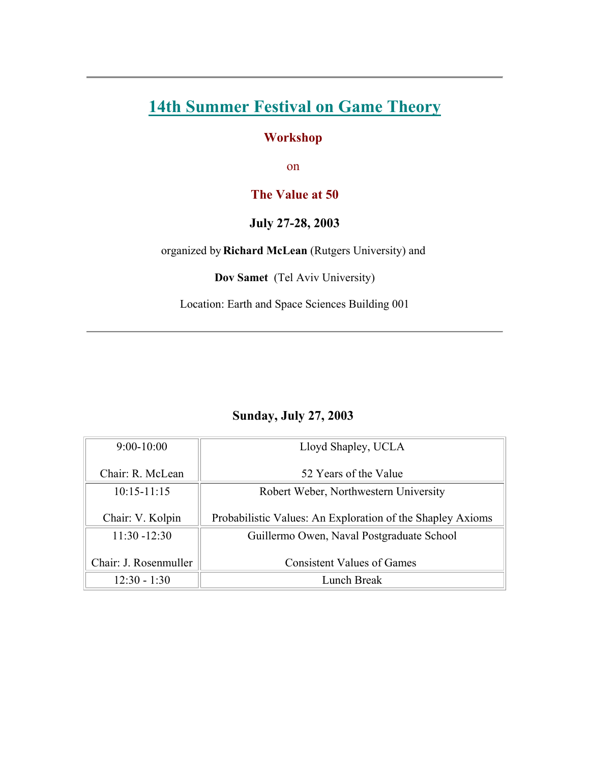# **[14th Summer Festival on Game Theory](http://www.sunysb.edu/gametheory/index.html)**

#### **Workshop**

on

### **The Value at 50**

#### **July 27-28, 2003**

organized by **Richard McLean** (Rutgers University) and

**Dov Samet** (Tel Aviv University)

Location: Earth and Space Sciences Building 001

## **Sunday, July 27, 2003**

| $9:00-10:00$                  | Lloyd Shapley, UCLA                                        |  |  |
|-------------------------------|------------------------------------------------------------|--|--|
| Chair: R. McLean              | 52 Years of the Value                                      |  |  |
| $10:15 - 11:15$               | Robert Weber, Northwestern University                      |  |  |
| Chair: V. Kolpin              | Probabilistic Values: An Exploration of the Shapley Axioms |  |  |
| $11:30 - 12:30$               | Guillermo Owen, Naval Postgraduate School                  |  |  |
| Chair: J. Rosenmuller         | <b>Consistent Values of Games</b>                          |  |  |
| Lunch Break<br>$12:30 - 1:30$ |                                                            |  |  |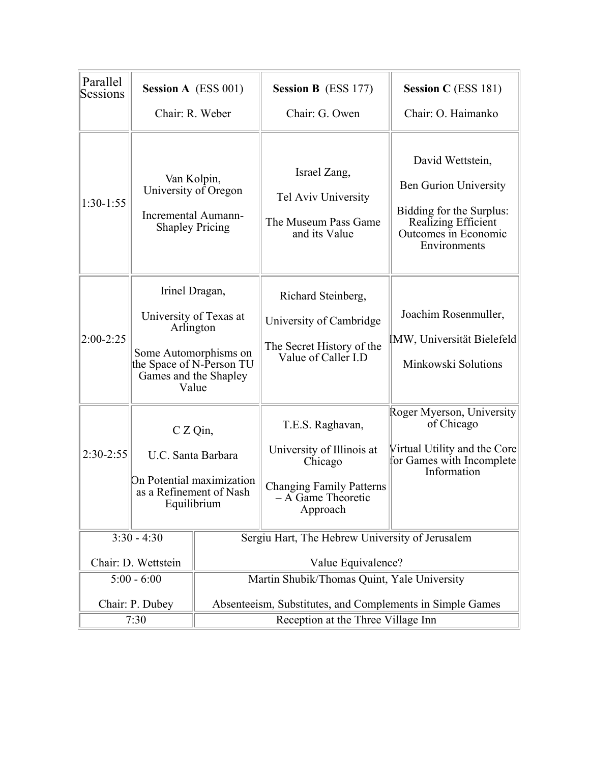| Parallel<br>Sessions                 | <b>Session A</b> (ESS 001)                                                                                                                   |                                                           | <b>Session B</b> (ESS 177)                                                                                                    | <b>Session C</b> (ESS 181)                                                                                                                  |  |
|--------------------------------------|----------------------------------------------------------------------------------------------------------------------------------------------|-----------------------------------------------------------|-------------------------------------------------------------------------------------------------------------------------------|---------------------------------------------------------------------------------------------------------------------------------------------|--|
|                                      | Chair: R. Weber                                                                                                                              |                                                           | Chair: G. Owen                                                                                                                | Chair: O. Haimanko                                                                                                                          |  |
| $1:30-1:55$                          | Van Kolpin,<br>University of Oregon<br>Incremental Aumann-<br><b>Shapley Pricing</b>                                                         |                                                           | Israel Zang,<br>Tel Aviv University<br>The Museum Pass Game<br>and its Value                                                  | David Wettstein,<br><b>Ben Gurion University</b><br>Bidding for the Surplus:<br>Realizing Efficient<br>Outcomes in Economic<br>Environments |  |
| $2:00-2:25$                          | Irinel Dragan,<br>University of Texas at<br>Arlington<br>Some Automorphisms on<br>the Space of N-Person TU<br>Games and the Shapley<br>Value |                                                           | Richard Steinberg,<br>University of Cambridge<br>The Secret History of the<br>Value of Caller I.D                             | Joachim Rosenmuller,<br>IMW, Universität Bielefeld<br>Minkowski Solutions                                                                   |  |
| $2:30-2:55$                          | $C Z Q$ in,<br>U.C. Santa Barbara<br>On Potential maximization<br>as a Refinement of Nash<br>Equilibrium                                     |                                                           | T.E.S. Raghavan,<br>University of Illinois at<br>Chicago<br><b>Changing Family Patterns</b><br>- A Game Theoretic<br>Approach | Roger Myerson, University<br>of Chicago<br>Virtual Utility and the Core<br>for Games with Incomplete<br>Information                         |  |
| $3:30 - 4:30$<br>Chair: D. Wettstein |                                                                                                                                              |                                                           | Sergiu Hart, The Hebrew University of Jerusalem<br>Value Equivalence?                                                         |                                                                                                                                             |  |
| $5:00 - 6:00$                        |                                                                                                                                              |                                                           | Martin Shubik/Thomas Quint, Yale University                                                                                   |                                                                                                                                             |  |
| Chair: P. Dubey                      |                                                                                                                                              | Absenteeism, Substitutes, and Complements in Simple Games |                                                                                                                               |                                                                                                                                             |  |
| 7:30                                 |                                                                                                                                              | Reception at the Three Village Inn                        |                                                                                                                               |                                                                                                                                             |  |